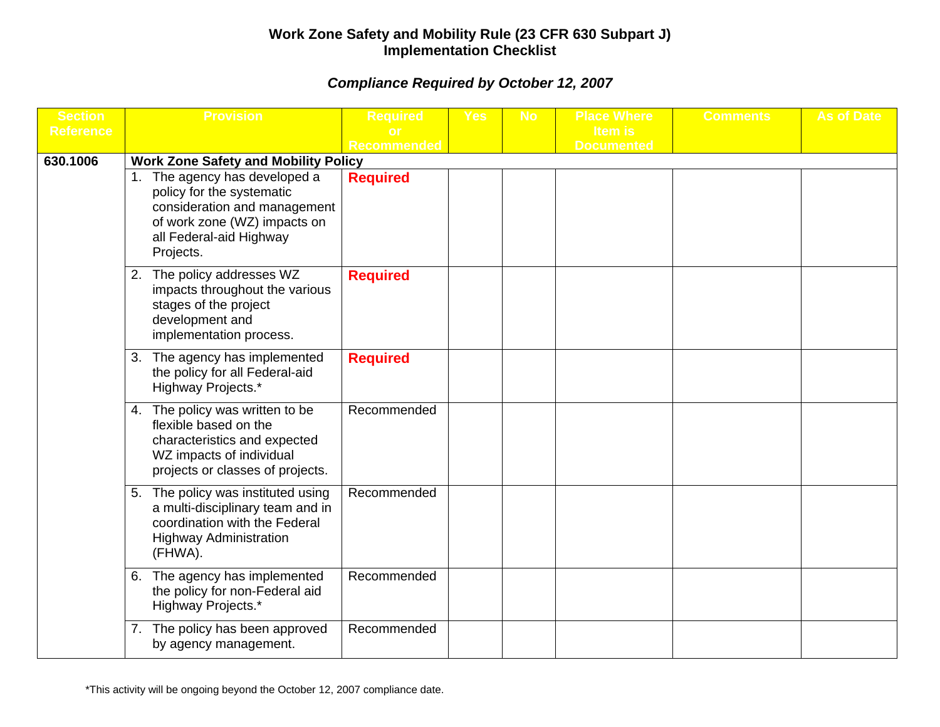## **Work Zone Safety and Mobility Rule (23 CFR 630 Subpart J) Implementation Checklist**

## *Compliance Required by October 12, 2007*

| <b>Section</b>   | <b>Provision</b>                                                                                                                                                | <b>Required</b>    | <b>Yes</b> | <b>No</b> | <b>Place Where</b> | <b>Comments</b> | <b>As of Date</b> |
|------------------|-----------------------------------------------------------------------------------------------------------------------------------------------------------------|--------------------|------------|-----------|--------------------|-----------------|-------------------|
| <b>Reference</b> |                                                                                                                                                                 |                    |            |           | <b>Item is</b>     |                 |                   |
| 630.1006         | <b>Work Zone Safety and Mobility Policy</b>                                                                                                                     | <b>Recommended</b> |            |           | <b>Documented</b>  |                 |                   |
|                  | The agency has developed a<br>policy for the systematic<br>consideration and management<br>of work zone (WZ) impacts on<br>all Federal-aid Highway<br>Projects. | <b>Required</b>    |            |           |                    |                 |                   |
|                  | The policy addresses WZ<br>2.<br>impacts throughout the various<br>stages of the project<br>development and<br>implementation process.                          | <b>Required</b>    |            |           |                    |                 |                   |
|                  | 3. The agency has implemented<br>the policy for all Federal-aid<br>Highway Projects.*                                                                           | <b>Required</b>    |            |           |                    |                 |                   |
|                  | 4. The policy was written to be<br>flexible based on the<br>characteristics and expected<br>WZ impacts of individual<br>projects or classes of projects.        | Recommended        |            |           |                    |                 |                   |
|                  | The policy was instituted using<br>5.<br>a multi-disciplinary team and in<br>coordination with the Federal<br><b>Highway Administration</b><br>(FHWA).          | Recommended        |            |           |                    |                 |                   |
|                  | The agency has implemented<br>6.<br>the policy for non-Federal aid<br>Highway Projects.*                                                                        | Recommended        |            |           |                    |                 |                   |
|                  | The policy has been approved<br>7.<br>by agency management.                                                                                                     | Recommended        |            |           |                    |                 |                   |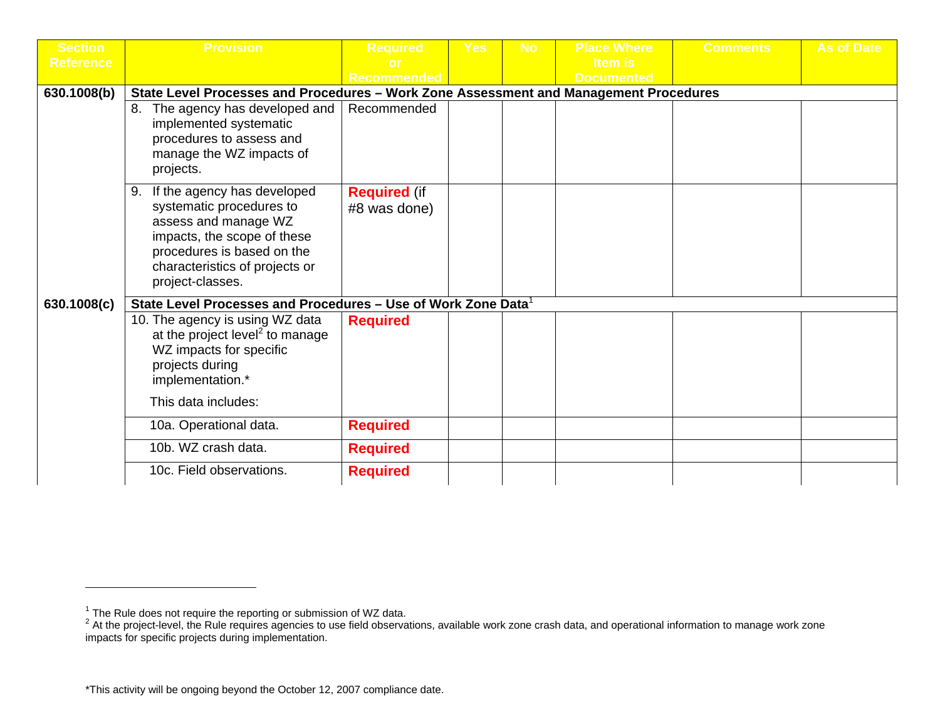| <b>Section</b>   | <b>Provision</b>                                                                                                                                                                                         | <b>Required</b>                     | Yes | <b>No</b> | <b>Place Where</b> | <b>Comments</b> | <b>As of Date</b> |
|------------------|----------------------------------------------------------------------------------------------------------------------------------------------------------------------------------------------------------|-------------------------------------|-----|-----------|--------------------|-----------------|-------------------|
| <b>Reference</b> |                                                                                                                                                                                                          |                                     |     |           | <b>Item is</b>     |                 |                   |
|                  |                                                                                                                                                                                                          | <b>Recommended</b>                  |     |           | <b>Documented</b>  |                 |                   |
| 630.1008(b)      | State Level Processes and Procedures - Work Zone Assessment and Management Procedures                                                                                                                    |                                     |     |           |                    |                 |                   |
|                  | 8. The agency has developed and<br>implemented systematic<br>procedures to assess and<br>manage the WZ impacts of<br>projects.                                                                           | Recommended                         |     |           |                    |                 |                   |
|                  | If the agency has developed<br>9.<br>systematic procedures to<br>assess and manage WZ<br>impacts, the scope of these<br>procedures is based on the<br>characteristics of projects or<br>project-classes. | <b>Required (if</b><br>#8 was done) |     |           |                    |                 |                   |
| 630.1008(c)      | State Level Processes and Procedures - Use of Work Zone Data <sup>1</sup>                                                                                                                                |                                     |     |           |                    |                 |                   |
|                  | 10. The agency is using WZ data<br>at the project level <sup>2</sup> to manage<br>WZ impacts for specific<br>projects during<br>implementation.*                                                         | <b>Required</b>                     |     |           |                    |                 |                   |
|                  | This data includes:                                                                                                                                                                                      |                                     |     |           |                    |                 |                   |
|                  | 10a. Operational data.                                                                                                                                                                                   | <b>Required</b>                     |     |           |                    |                 |                   |
|                  | 10b. WZ crash data.                                                                                                                                                                                      | <b>Required</b>                     |     |           |                    |                 |                   |
|                  | 10c. Field observations.                                                                                                                                                                                 | <b>Required</b>                     |     |           |                    |                 |                   |

<sup>&</sup>lt;sup>1</sup> The Rule does not require the reporting or submission of WZ data.<br><sup>2</sup> At the project-level, the Rule requires agencies to use field observations, available work zone crash data, and operational information to manage wo impacts for specific projects during implementation.

<sup>\*</sup>This activity will be ongoing beyond the October 12, 2007 compliance date.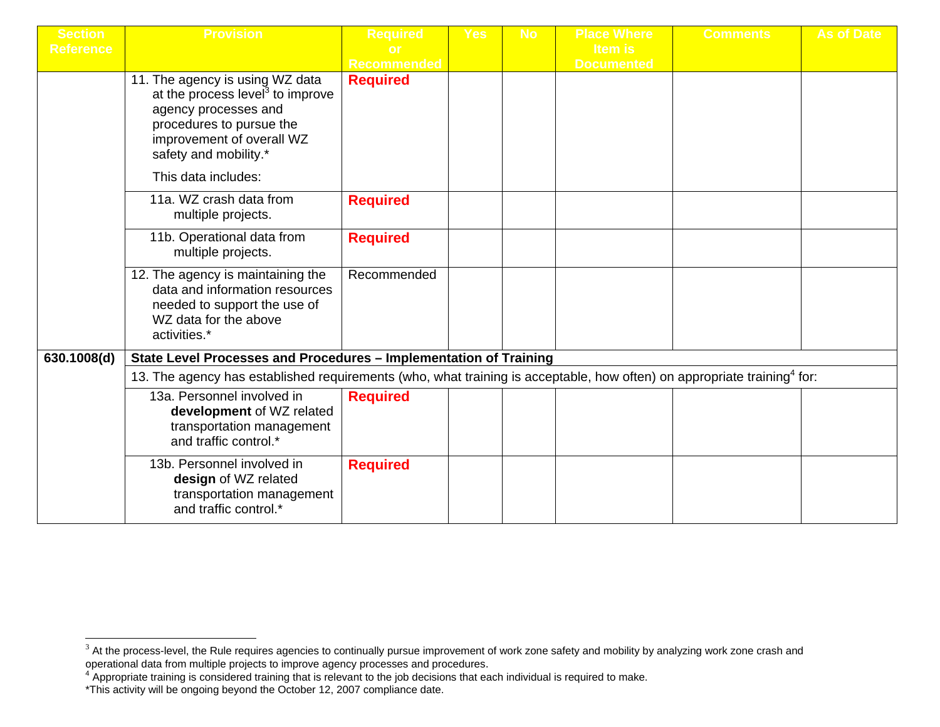| <b>Section</b>   | <b>Provision</b>                                                                                                                                                                                                 | <b>Required</b>    | Yes | <b>No</b> | <b>Place Where</b>                  | <b>Comments</b> | <b>As of Date</b> |
|------------------|------------------------------------------------------------------------------------------------------------------------------------------------------------------------------------------------------------------|--------------------|-----|-----------|-------------------------------------|-----------------|-------------------|
| <b>Reference</b> |                                                                                                                                                                                                                  | <b>Recommended</b> |     |           | <b>Item is</b><br><b>Documented</b> |                 |                   |
|                  | 11. The agency is using WZ data<br>at the process level <sup>3</sup> to improve<br>agency processes and<br>procedures to pursue the<br>improvement of overall WZ<br>safety and mobility.*<br>This data includes: | <b>Required</b>    |     |           |                                     |                 |                   |
|                  | 11a. WZ crash data from<br>multiple projects.                                                                                                                                                                    | <b>Required</b>    |     |           |                                     |                 |                   |
|                  | 11b. Operational data from<br>multiple projects.                                                                                                                                                                 | <b>Required</b>    |     |           |                                     |                 |                   |
|                  | 12. The agency is maintaining the<br>data and information resources<br>needed to support the use of<br>WZ data for the above<br>activities.*                                                                     | Recommended        |     |           |                                     |                 |                   |
| 630.1008(d)      | State Level Processes and Procedures - Implementation of Training                                                                                                                                                |                    |     |           |                                     |                 |                   |
|                  | 13. The agency has established requirements (who, what training is acceptable, how often) on appropriate training <sup>4</sup> for:                                                                              |                    |     |           |                                     |                 |                   |
|                  | 13a. Personnel involved in<br>development of WZ related<br>transportation management<br>and traffic control.*                                                                                                    | <b>Required</b>    |     |           |                                     |                 |                   |
|                  | 13b. Personnel involved in<br>design of WZ related<br>transportation management<br>and traffic control.*                                                                                                         | <b>Required</b>    |     |           |                                     |                 |                   |

 $^3$  At the process-level, the Rule requires agencies to continually pursue improvement of work zone safety and mobility by analyzing work zone crash and

operational data from multiple projects to improve agency processes and procedures.<br><sup>4</sup> Appropriate training is considered training that is relevant to the job decisions that each individual is required to make.

<sup>\*</sup>This activity will be ongoing beyond the October 12, 2007 compliance date.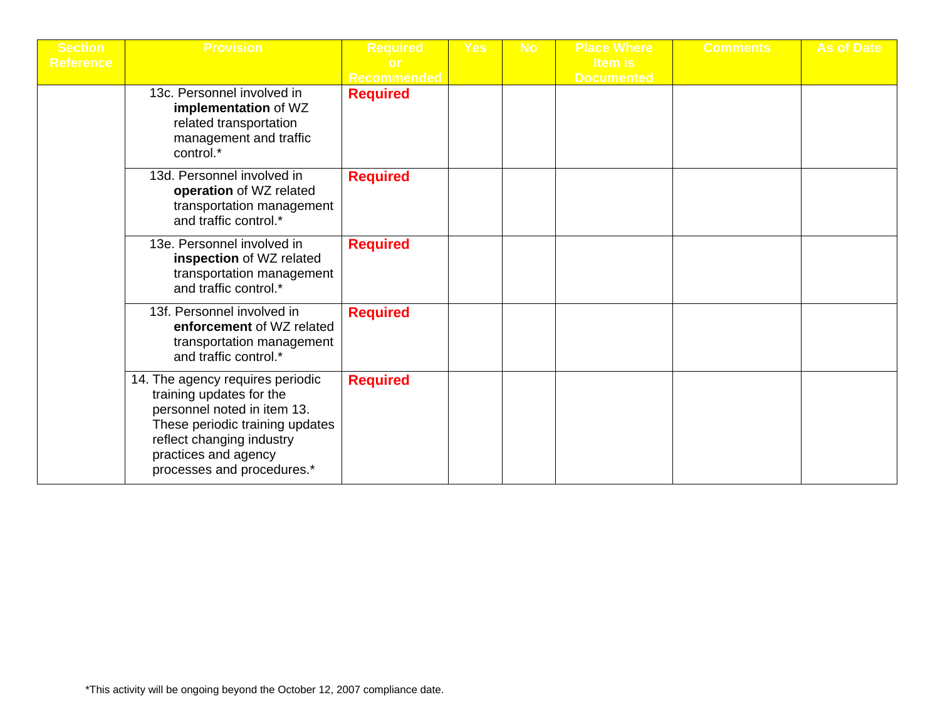| <b>Section</b>   | <b>Provision</b>                                                                                                                                                                                                  | <b>Required</b>    | <b>Yes</b> | <b>No</b> | <b>Place Where</b>           | <b>Comments</b> | <b>As of Date</b> |
|------------------|-------------------------------------------------------------------------------------------------------------------------------------------------------------------------------------------------------------------|--------------------|------------|-----------|------------------------------|-----------------|-------------------|
| <b>Reference</b> |                                                                                                                                                                                                                   | <b>Recommended</b> |            |           | Item is<br><b>Documented</b> |                 |                   |
|                  | 13c. Personnel involved in<br>implementation of WZ<br>related transportation<br>management and traffic<br>control.*                                                                                               | <b>Required</b>    |            |           |                              |                 |                   |
|                  | 13d. Personnel involved in<br>operation of WZ related<br>transportation management<br>and traffic control.*                                                                                                       | <b>Required</b>    |            |           |                              |                 |                   |
|                  | 13e. Personnel involved in<br>inspection of WZ related<br>transportation management<br>and traffic control.*                                                                                                      | <b>Required</b>    |            |           |                              |                 |                   |
|                  | 13f. Personnel involved in<br>enforcement of WZ related<br>transportation management<br>and traffic control.*                                                                                                     | <b>Required</b>    |            |           |                              |                 |                   |
|                  | 14. The agency requires periodic<br>training updates for the<br>personnel noted in item 13.<br>These periodic training updates<br>reflect changing industry<br>practices and agency<br>processes and procedures.* | <b>Required</b>    |            |           |                              |                 |                   |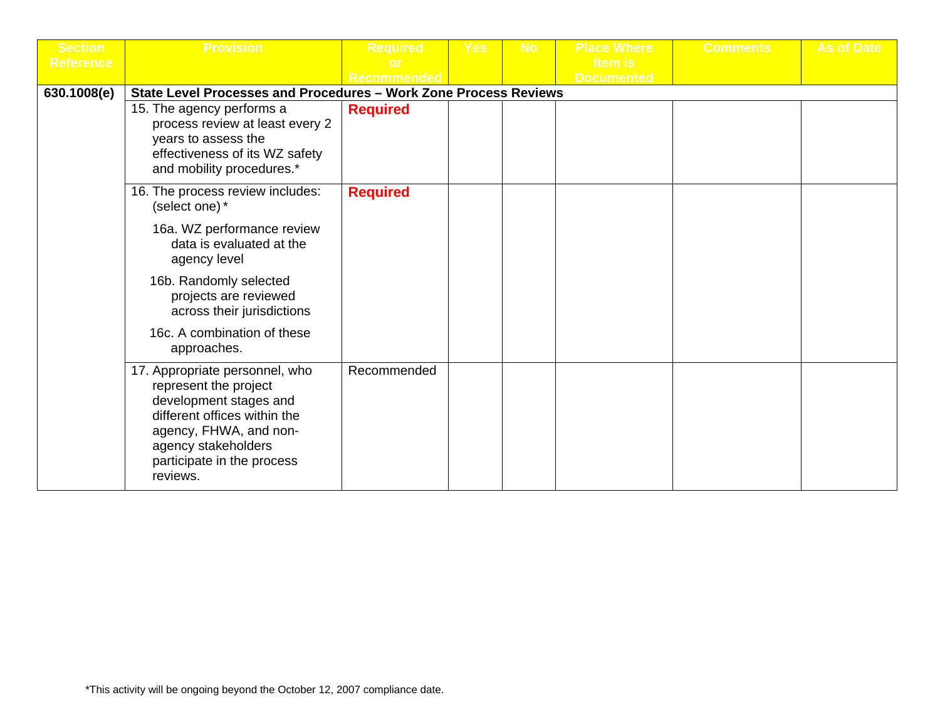| <b>Section</b>   | <b>Provision</b>                                                                                                                                                                                             | <b>Required</b> | <b>Yes</b> | <b>No</b> | <b>Place Where</b> | <b>Comments</b> | <b>As of Date</b> |
|------------------|--------------------------------------------------------------------------------------------------------------------------------------------------------------------------------------------------------------|-----------------|------------|-----------|--------------------|-----------------|-------------------|
| <b>Reference</b> |                                                                                                                                                                                                              |                 |            |           | Item is            |                 |                   |
|                  |                                                                                                                                                                                                              | Recommended     |            |           | <b>Documented</b>  |                 |                   |
| 630.1008(e)      | State Level Processes and Procedures - Work Zone Process Reviews                                                                                                                                             |                 |            |           |                    |                 |                   |
|                  | 15. The agency performs a<br>process review at least every 2<br>years to assess the<br>effectiveness of its WZ safety<br>and mobility procedures.*                                                           | <b>Required</b> |            |           |                    |                 |                   |
|                  | 16. The process review includes:<br>(select one) *                                                                                                                                                           | <b>Required</b> |            |           |                    |                 |                   |
|                  | 16a. WZ performance review<br>data is evaluated at the<br>agency level                                                                                                                                       |                 |            |           |                    |                 |                   |
|                  | 16b. Randomly selected<br>projects are reviewed<br>across their jurisdictions                                                                                                                                |                 |            |           |                    |                 |                   |
|                  | 16c. A combination of these<br>approaches.                                                                                                                                                                   |                 |            |           |                    |                 |                   |
|                  | 17. Appropriate personnel, who<br>represent the project<br>development stages and<br>different offices within the<br>agency, FHWA, and non-<br>agency stakeholders<br>participate in the process<br>reviews. | Recommended     |            |           |                    |                 |                   |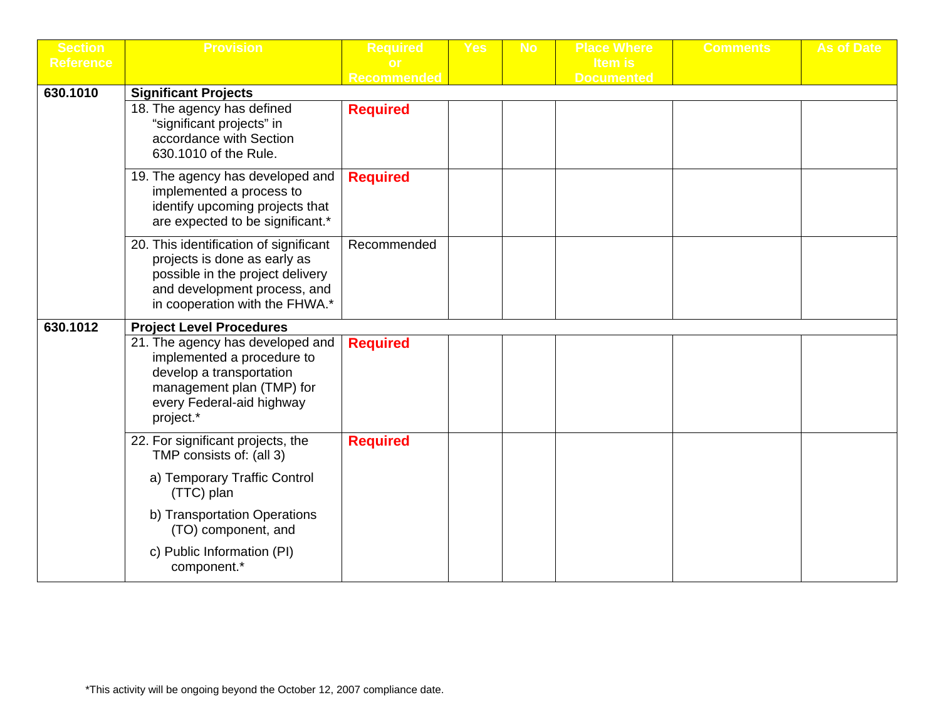| <b>Section</b>   | <b>Provision</b>                                                                                                                                                             | <b>Required</b>    | <b>Yes</b> | <b>No</b> | <b>Place Where</b> | <b>Comments</b> | As of Date |
|------------------|------------------------------------------------------------------------------------------------------------------------------------------------------------------------------|--------------------|------------|-----------|--------------------|-----------------|------------|
| <b>Reference</b> |                                                                                                                                                                              |                    |            |           | <b>Item is</b>     |                 |            |
|                  |                                                                                                                                                                              | <b>Recommended</b> |            |           | <b>Documented</b>  |                 |            |
| 630.1010         | <b>Significant Projects</b>                                                                                                                                                  |                    |            |           |                    |                 |            |
|                  | 18. The agency has defined<br>"significant projects" in<br>accordance with Section<br>630.1010 of the Rule.                                                                  | <b>Required</b>    |            |           |                    |                 |            |
|                  | 19. The agency has developed and<br>implemented a process to<br>identify upcoming projects that<br>are expected to be significant.*                                          | <b>Required</b>    |            |           |                    |                 |            |
|                  | 20. This identification of significant<br>projects is done as early as<br>possible in the project delivery<br>and development process, and<br>in cooperation with the FHWA.* | Recommended        |            |           |                    |                 |            |
| 630.1012         | <b>Project Level Procedures</b>                                                                                                                                              |                    |            |           |                    |                 |            |
|                  | 21. The agency has developed and<br>implemented a procedure to<br>develop a transportation<br>management plan (TMP) for<br>every Federal-aid highway<br>project.*            | <b>Required</b>    |            |           |                    |                 |            |
|                  | 22. For significant projects, the<br>TMP consists of: (all 3)                                                                                                                | <b>Required</b>    |            |           |                    |                 |            |
|                  | a) Temporary Traffic Control<br>(TTC) plan                                                                                                                                   |                    |            |           |                    |                 |            |
|                  | b) Transportation Operations<br>(TO) component, and                                                                                                                          |                    |            |           |                    |                 |            |
|                  | c) Public Information (PI)<br>component.*                                                                                                                                    |                    |            |           |                    |                 |            |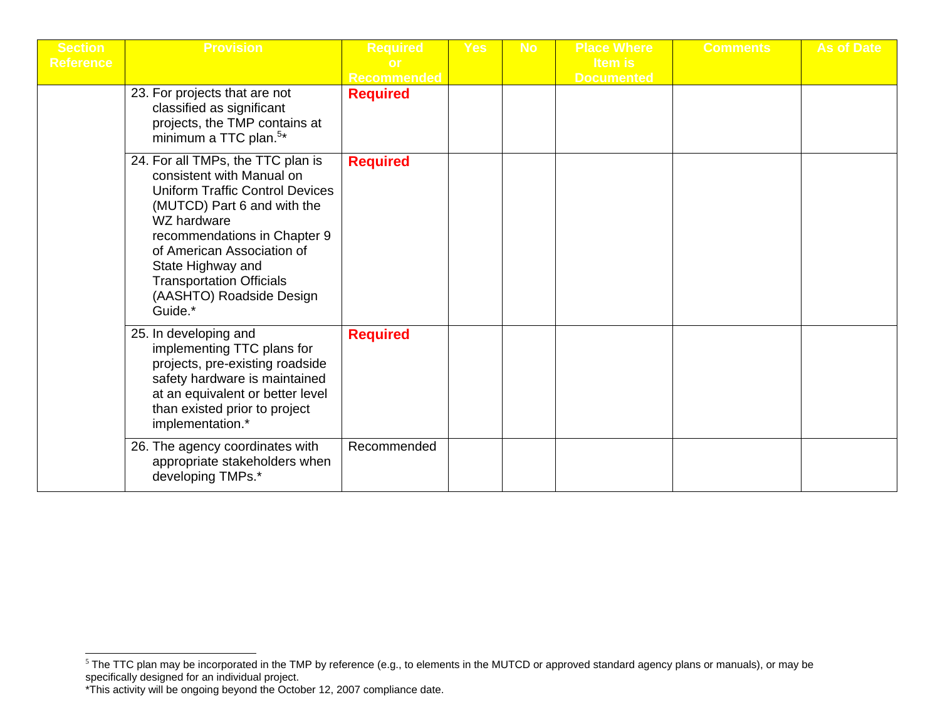| <b>Section</b><br><b>Reference</b> | <b>Provision</b>                                                                                                                                                                                                                                                                                                    | <b>Required</b><br><b>Recommended</b> | <b>Yes</b> | <b>No</b> | <b>Place Where</b><br><b>Item is</b><br><b>Documented</b> | <b>Comments</b> | <b>As of Date</b> |
|------------------------------------|---------------------------------------------------------------------------------------------------------------------------------------------------------------------------------------------------------------------------------------------------------------------------------------------------------------------|---------------------------------------|------------|-----------|-----------------------------------------------------------|-----------------|-------------------|
|                                    | 23. For projects that are not<br>classified as significant<br>projects, the TMP contains at<br>minimum a TTC plan. <sup>5*</sup>                                                                                                                                                                                    | <b>Required</b>                       |            |           |                                                           |                 |                   |
|                                    | 24. For all TMPs, the TTC plan is<br>consistent with Manual on<br><b>Uniform Traffic Control Devices</b><br>(MUTCD) Part 6 and with the<br>WZ hardware<br>recommendations in Chapter 9<br>of American Association of<br>State Highway and<br><b>Transportation Officials</b><br>(AASHTO) Roadside Design<br>Guide.* | <b>Required</b>                       |            |           |                                                           |                 |                   |
|                                    | 25. In developing and<br>implementing TTC plans for<br>projects, pre-existing roadside<br>safety hardware is maintained<br>at an equivalent or better level<br>than existed prior to project<br>implementation.*                                                                                                    | <b>Required</b>                       |            |           |                                                           |                 |                   |
|                                    | 26. The agency coordinates with<br>appropriate stakeholders when<br>developing TMPs.*                                                                                                                                                                                                                               | Recommended                           |            |           |                                                           |                 |                   |

 $^5$  The TTC plan may be incorporated in the TMP by reference (e.g., to elements in the MUTCD or approved standard agency plans or manuals), or may be specifically designed for an individual project.

<sup>\*</sup>This activity will be ongoing beyond the October 12, 2007 compliance date.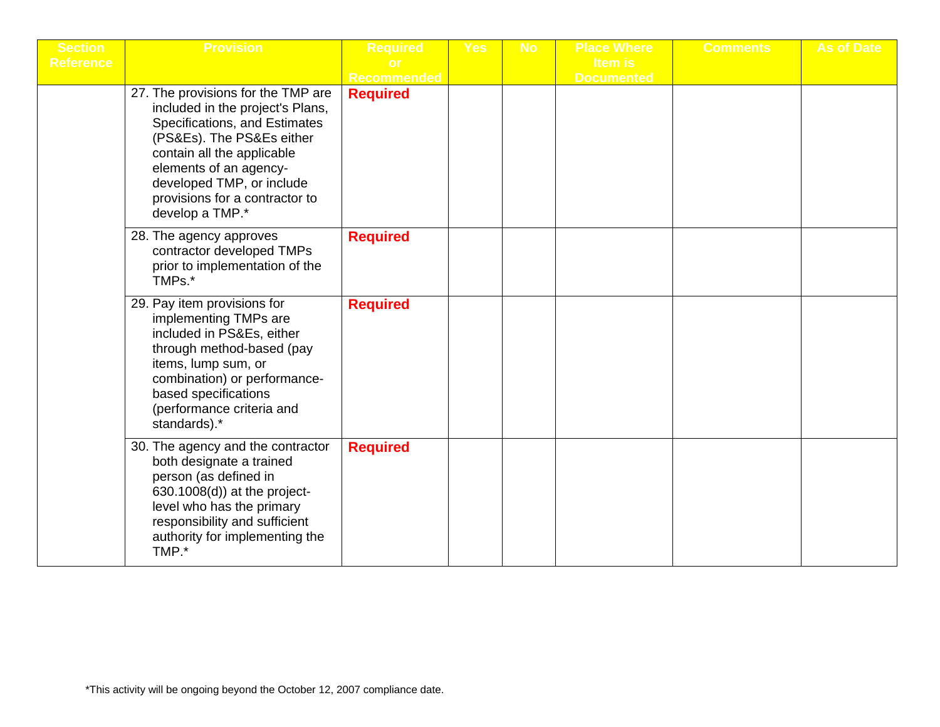| <b>Section</b>   | <b>Provision</b>                                                                                                                                                                                                                                                               | <b>Required</b>    | <b>Yes</b> | <b>No</b> | <b>Place Where</b> | <b>Comments</b> | <b>As of Date</b> |
|------------------|--------------------------------------------------------------------------------------------------------------------------------------------------------------------------------------------------------------------------------------------------------------------------------|--------------------|------------|-----------|--------------------|-----------------|-------------------|
| <b>Reference</b> |                                                                                                                                                                                                                                                                                |                    |            |           | <b>Item is</b>     |                 |                   |
|                  |                                                                                                                                                                                                                                                                                | <b>Recommended</b> |            |           | <b>Documented</b>  |                 |                   |
|                  | 27. The provisions for the TMP are<br>included in the project's Plans,<br>Specifications, and Estimates<br>(PS&Es). The PS&Es either<br>contain all the applicable<br>elements of an agency-<br>developed TMP, or include<br>provisions for a contractor to<br>develop a TMP.* | <b>Required</b>    |            |           |                    |                 |                   |
|                  | 28. The agency approves<br>contractor developed TMPs<br>prior to implementation of the<br>TMPs.*                                                                                                                                                                               | <b>Required</b>    |            |           |                    |                 |                   |
|                  | 29. Pay item provisions for<br>implementing TMPs are<br>included in PS&Es, either<br>through method-based (pay<br>items, lump sum, or<br>combination) or performance-<br>based specifications<br>(performance criteria and<br>standards).*                                     | <b>Required</b>    |            |           |                    |                 |                   |
|                  | 30. The agency and the contractor<br>both designate a trained<br>person (as defined in<br>630.1008(d)) at the project-<br>level who has the primary<br>responsibility and sufficient<br>authority for implementing the<br>TMP.*                                                | <b>Required</b>    |            |           |                    |                 |                   |